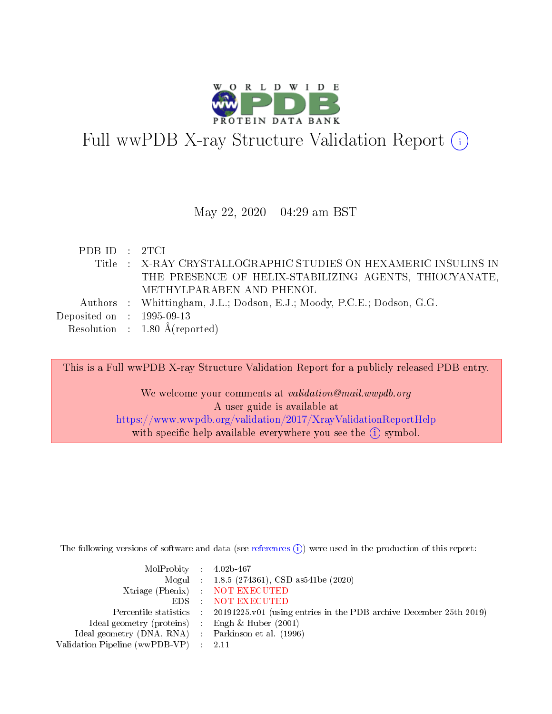

# Full wwPDB X-ray Structure Validation Report  $(i)$

#### May 22, 2020 - 04:29 am BST

| PDB ID : 2TCI               |                                                                        |
|-----------------------------|------------------------------------------------------------------------|
|                             | Title : X-RAY CRYSTALLOGRAPHIC STUDIES ON HEXAMERIC INSULINS IN        |
|                             | THE PRESENCE OF HELIX-STABILIZING AGENTS, THIOCYANATE,                 |
|                             | METHYLPARABEN AND PHENOL                                               |
|                             | Authors : Whittingham, J.L.; Dodson, E.J.; Moody, P.C.E.; Dodson, G.G. |
| Deposited on : $1995-09-13$ |                                                                        |
|                             | Resolution : $1.80 \text{ Å}$ (reported)                               |

This is a Full wwPDB X-ray Structure Validation Report for a publicly released PDB entry. We welcome your comments at validation@mail.wwpdb.org A user guide is available at <https://www.wwpdb.org/validation/2017/XrayValidationReportHelp> with specific help available everywhere you see the  $(i)$  symbol.

The following versions of software and data (see [references](https://www.wwpdb.org/validation/2017/XrayValidationReportHelp#references)  $(i)$ ) were used in the production of this report:

| $MolProbability$ 4.02b-467                          |                                                                                            |
|-----------------------------------------------------|--------------------------------------------------------------------------------------------|
|                                                     | Mogul : $1.8.5$ (274361), CSD as 541be (2020)                                              |
|                                                     | Xtriage (Phenix) NOT EXECUTED                                                              |
|                                                     | EDS : NOT EXECUTED                                                                         |
|                                                     | Percentile statistics : 20191225.v01 (using entries in the PDB archive December 25th 2019) |
| Ideal geometry (proteins) : Engh $\&$ Huber (2001)  |                                                                                            |
| Ideal geometry (DNA, RNA) : Parkinson et al. (1996) |                                                                                            |
| Validation Pipeline (wwPDB-VP) : 2.11               |                                                                                            |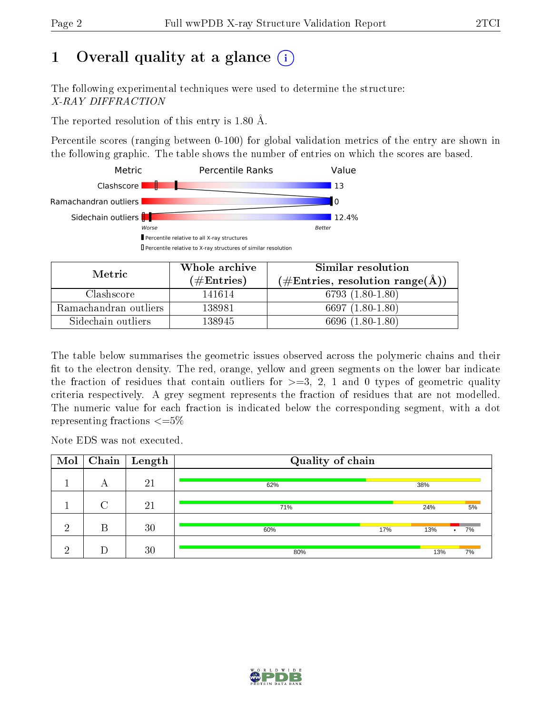# 1 [O](https://www.wwpdb.org/validation/2017/XrayValidationReportHelp#overall_quality)verall quality at a glance  $(i)$

The following experimental techniques were used to determine the structure: X-RAY DIFFRACTION

The reported resolution of this entry is 1.80 Å.

Percentile scores (ranging between 0-100) for global validation metrics of the entry are shown in the following graphic. The table shows the number of entries on which the scores are based.



| Metric                | Whole archive        | Similar resolution                                        |
|-----------------------|----------------------|-----------------------------------------------------------|
|                       | $(\#\text{Entries})$ | $(\#\text{Entries}, \text{resolution range}(\text{\AA}))$ |
| Clashscore            | 141614               | 6793 $(1.80-1.80)$                                        |
| Ramachandran outliers | 138981               | 6697 $(1.80-1.80)$                                        |
| Sidechain outliers    | 138945               | $(1.80 - 1.80)$<br>6696-0                                 |

The table below summarises the geometric issues observed across the polymeric chains and their fit to the electron density. The red, orange, yellow and green segments on the lower bar indicate the fraction of residues that contain outliers for  $\geq=3$ , 2, 1 and 0 types of geometric quality criteria respectively. A grey segment represents the fraction of residues that are not modelled. The numeric value for each fraction is indicated below the corresponding segment, with a dot representing fractions  $\epsilon = 5\%$ 

Note EDS was not executed.

| Mol | Chain  | $\vert$ Length | Quality of chain |     |     |                 |  |  |
|-----|--------|----------------|------------------|-----|-----|-----------------|--|--|
|     | А      | 21             | 62%              |     | 38% |                 |  |  |
|     | $\cap$ | 21             | 71%              |     | 24% | 5%              |  |  |
| ച   | В      | 30             | 60%              | 17% | 13% | 7%<br>$\bullet$ |  |  |
| ച   |        | 30             | 80%              |     | 13% | 7%              |  |  |

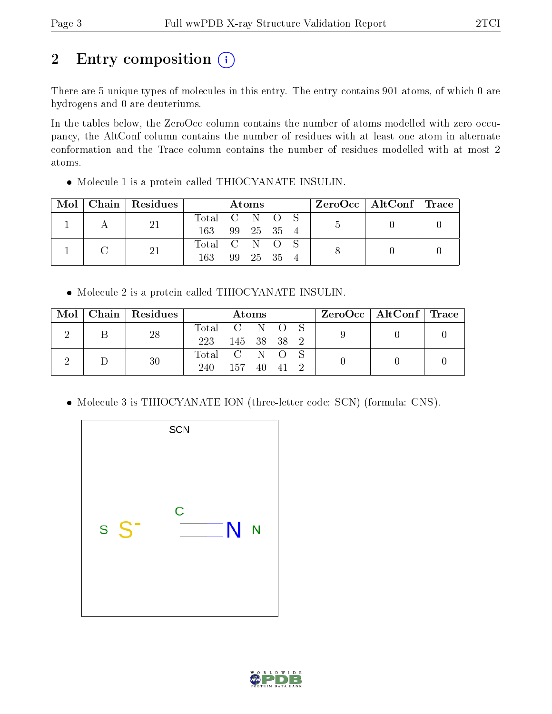# 2 Entry composition (i)

There are 5 unique types of molecules in this entry. The entry contains 901 atoms, of which 0 are hydrogens and 0 are deuteriums.

In the tables below, the ZeroOcc column contains the number of atoms modelled with zero occupancy, the AltConf column contains the number of residues with at least one atom in alternate conformation and the Trace column contains the number of residues modelled with at most 2 atoms.

 $\bullet$  Molecule 1 is a protein called THIOCYANATE INSULIN.

| Mol |  | Chain   Residues | Atoms         |           |  |            | $ZeroOcc \mid AltConf \mid Trace$ |  |  |  |
|-----|--|------------------|---------------|-----------|--|------------|-----------------------------------|--|--|--|
|     |  |                  | Total         |           |  | CNOS       |                                   |  |  |  |
|     |  |                  | 163           |           |  | 99 25 35 4 |                                   |  |  |  |
|     |  |                  | Total C N O S |           |  |            |                                   |  |  |  |
|     |  | 163              | -99           | - 25 - 35 |  |            |                                   |  |  |  |

Molecule 2 is a protein called THIOCYANATE INSULIN.

|  | $Mol$   Chain   Residues |                 |             | Atoms |  |  | $\rm ZeroOcc$   AltConf   Trace |  |
|--|--------------------------|-----------------|-------------|-------|--|--|---------------------------------|--|
|  | 28                       | Total C N O S   |             |       |  |  |                                 |  |
|  |                          | 223 145 38 38 2 |             |       |  |  |                                 |  |
|  | 30                       | Total C N O S   |             |       |  |  |                                 |  |
|  |                          | 240             | 157 40 41 2 |       |  |  |                                 |  |

• Molecule 3 is THIOCYANATE ION (three-letter code: SCN) (formula: CNS).



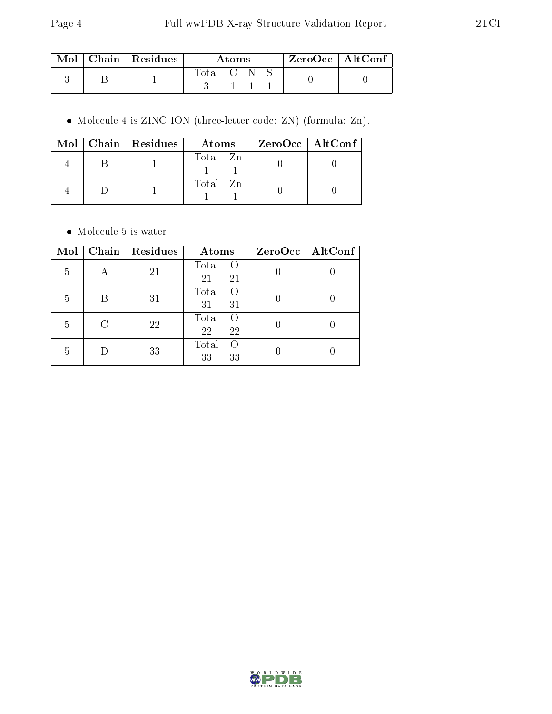|  | $\mid$ Mol $\mid$ Chain $\mid$ Residues $\mid$ |           | Atoms |  | ZeroOcc   AltConf |  |
|--|------------------------------------------------|-----------|-------|--|-------------------|--|
|  |                                                | Total C N |       |  |                   |  |

Molecule 4 is ZINC ION (three-letter code: ZN) (formula: Zn).

|  | Mol   Chain   Residues | Atoms    | ZeroOcc   AltConf |
|--|------------------------|----------|-------------------|
|  |                        | Total Zn |                   |
|  |                        | Total Zn |                   |

• Molecule 5 is water.

| Mol | Chain | Residues | Atoms                                 | $ZeroOcc$   AltConf |
|-----|-------|----------|---------------------------------------|---------------------|
| 5   | А     | 21       | Total<br>$\overline{O}$<br>21<br>21   |                     |
| 5   |       | 31       | Total<br>$\left( \right)$<br>31<br>31 |                     |
| 5   |       | 22       | Total<br>$\Omega$<br>22<br>22         |                     |
| 5   |       | 33       | Total<br>$\Omega$<br>33<br>33         |                     |

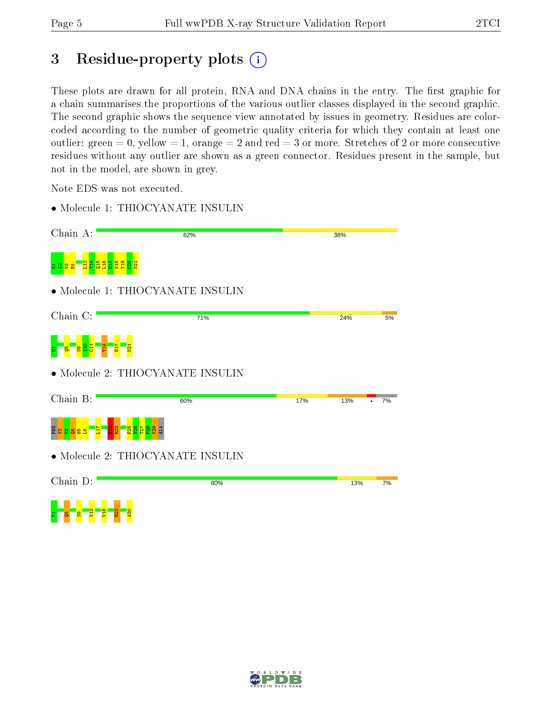# 3 Residue-property plots (i)

These plots are drawn for all protein, RNA and DNA chains in the entry. The first graphic for a chain summarises the proportions of the various outlier classes displayed in the second graphic. The second graphic shows the sequence view annotated by issues in geometry. Residues are colorcoded according to the number of geometric quality criteria for which they contain at least one outlier: green  $= 0$ , yellow  $= 1$ , orange  $= 2$  and red  $= 3$  or more. Stretches of 2 or more consecutive residues without any outlier are shown as a green connector. Residues present in the sample, but not in the model, are shown in grey.

Note EDS was not executed.

• Molecule 1: THIOCYANATE INSULIN

| Chain A:                             | 62%                               |     | 38% |    |
|--------------------------------------|-----------------------------------|-----|-----|----|
| <mark>ង្គង្គង្គង</mark> ្គខ្ន<br>ង ខ |                                   |     |     |    |
|                                      | • Molecule 1: THIOCYANATE INSULIN |     |     |    |
| Chain C:                             | 71%                               |     | 24% | 5% |
|                                      |                                   |     |     |    |
|                                      | • Molecule 2: THIOCYANATE INSULIN |     |     |    |
| Chain B:                             | 60%                               | 17% | 13% | 7% |
| 용 볼<br>曽                             | $\frac{8}{8}$                     |     |     |    |
|                                      | • Molecule 2: THIOCYANATE INSULIN |     |     |    |
| Chain D:                             | 80%                               |     | 13% | 7% |
|                                      |                                   |     |     |    |

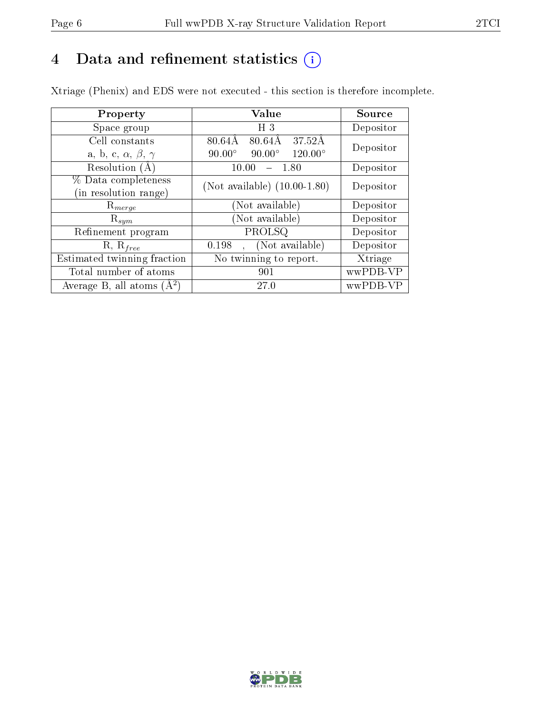# 4 Data and refinement statistics  $(i)$

Xtriage (Phenix) and EDS were not executed - this section is therefore incomplete.

| Property                               | <b>Value</b>                                                | Source    |  |
|----------------------------------------|-------------------------------------------------------------|-----------|--|
| Space group                            | H <sub>3</sub>                                              | Depositor |  |
| Cell constants                         | $80.64\text{\AA}$<br>$37.52\text{\AA}$<br>$80.64\text{\AA}$ | Depositor |  |
| a, b, c, $\alpha$ , $\beta$ , $\gamma$ | $90.00^\circ$<br>$120.00^{\circ}$<br>$90.00^\circ$          |           |  |
| Resolution (A                          | 10.00<br>1.80                                               | Depositor |  |
| % Data completeness                    | (Not available) $(10.00-1.80)$                              | Depositor |  |
| (in resolution range)                  |                                                             |           |  |
| $\mathrm{R}_{merge}$                   | (Not available)                                             | Depositor |  |
| $\mathrm{R}_{sym}$                     | (Not available)                                             | Depositor |  |
| Refinement program                     | PROLSQ                                                      | Depositor |  |
| $R, R_{free}$                          | (Not available)<br>0.198                                    | Depositor |  |
| Estimated twinning fraction            | No twinning to report.                                      | Xtriage   |  |
| Total number of atoms                  | 901                                                         | wwPDB-VP  |  |
| Average B, all atoms $(A^2)$           | 27.0                                                        | wwPDB-VP  |  |

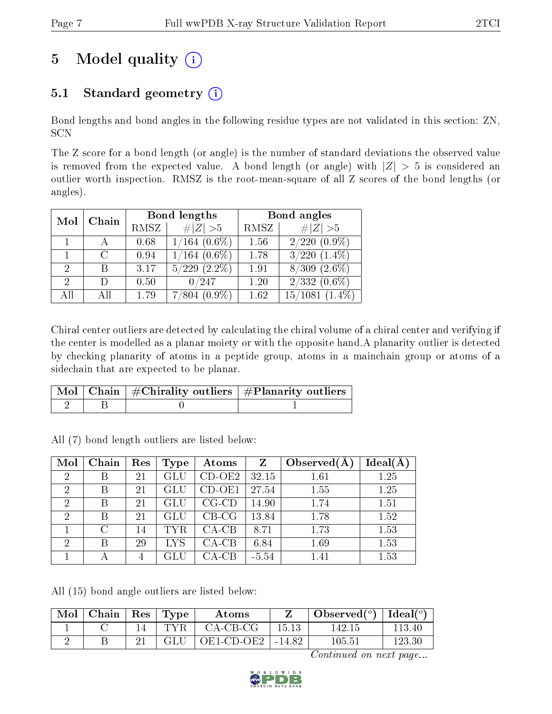# 5 Model quality  $(i)$

## 5.1 Standard geometry  $(i)$

Bond lengths and bond angles in the following residue types are not validated in this section: ZN, SCN

The Z score for a bond length (or angle) is the number of standard deviations the observed value is removed from the expected value. A bond length (or angle) with  $|Z| > 5$  is considered an outlier worth inspection. RMSZ is the root-mean-square of all Z scores of the bond lengths (or angles).

|               |   |      | Bond lengths       | Bond angles |                      |  |
|---------------|---|------|--------------------|-------------|----------------------|--|
| Chain<br>Mol  |   | RMSZ | $\# Z  > 5$        | RMSZ        | # $ Z >5$            |  |
|               |   | 0.68 | $1/164$ (0.6%)     | 1.56        | $2/220$ $(0.9\%)$    |  |
|               |   | 0.94 | $1/164$ (0.6%)     | 1.78        | $3/220$ $(1.4\%)$    |  |
| 2             | R | 3.17 | $5/229$ $(2.2\%)$  | 1.91        | $8/309$ $(2.6\%)$    |  |
| $\mathcal{D}$ |   | 0.50 | 0/247              | 1.20        | $2/332(0.6\%)$       |  |
| All           |   | 1.79 | $(0.9\%)$<br>7/804 | 1.62        | 15/1081<br>$(1.4\%)$ |  |

Chiral center outliers are detected by calculating the chiral volume of a chiral center and verifying if the center is modelled as a planar moiety or with the opposite hand.A planarity outlier is detected by checking planarity of atoms in a peptide group, atoms in a mainchain group or atoms of a sidechain that are expected to be planar.

|  | $\mid$ Mol $\mid$ Chain $\mid$ #Chirality outliers $\mid$ #Planarity outliers $\mid$ |
|--|--------------------------------------------------------------------------------------|
|  |                                                                                      |

All (7) bond length outliers are listed below:

| Mol            | Chain | Res | Type       | Atoms       | Z       | Observed $(A)$ | $Ideal(\AA)$ |
|----------------|-------|-----|------------|-------------|---------|----------------|--------------|
| $\overline{2}$ | В     | 21  | GLU        | $CD-OE2$    | 32.15   | 1.61           | 1.25         |
| $\overline{2}$ | B     | 21  | GLU        | $CD-OE1$    | 27.54   | 1.55           | 1.25         |
| $\overline{2}$ | B     | 21  | GLU        | $CG$ - $CD$ | 14.90   | 1.74           | 1.51         |
| $\overline{2}$ | В     | 21  | GLU        | $CB-CG$     | 13.84   | 1.78           | 1.52         |
|                | C     | 14  | <b>TYR</b> | $CA-CB$     | 8.71    | 1.73           | 1.53         |
| $\overline{2}$ | B     | 29  | LYS        | $CA-CB$     | 6.84    | 1.69           | 1.53         |
|                | А     | 4   |            | $CA-CB$     | $-5.54$ | 1.41           | 1.53         |

All (15) bond angle outliers are listed below:

| Mol | Chain   Res | $\mathbf{T}$ $\mathbf{Type}$ | Atoms                      |       | Observed( $^{\circ}$ )   Ideal( $^{\circ}$ ) |        |
|-----|-------------|------------------------------|----------------------------|-------|----------------------------------------------|--------|
|     |             | TYR.                         | $CA-CB-CG$                 | 15.13 | 142 15                                       | 113 40 |
|     |             | GLU                          | $\mid$ OE1-CD-OE2   -14.82 |       | $105.51\,$                                   | 123.30 |

Continued on next page...

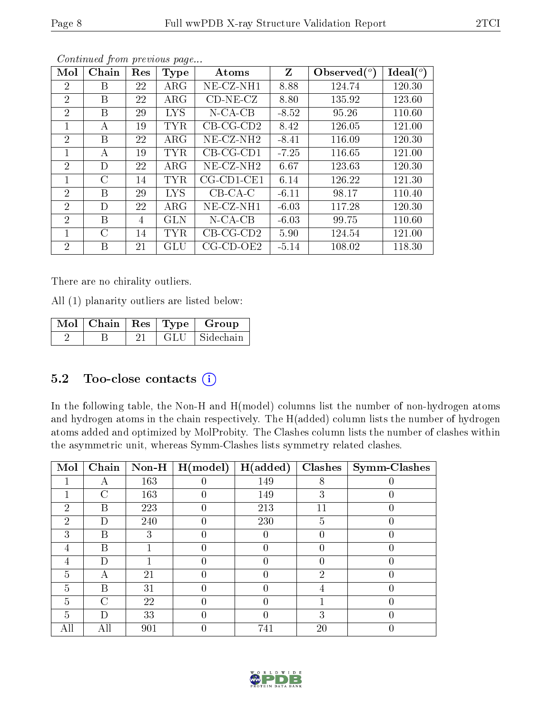| Mol            | Chain | Res | Type       | Atoms                    | Z       | Observed $(°)$ | $\text{Ideal}({}^o)$ |
|----------------|-------|-----|------------|--------------------------|---------|----------------|----------------------|
| 2              | Β     | 22  | $\rm{ARG}$ | $NE-CZ-NH1$              | 8.88    | 124.74         | 120.30               |
| $\overline{2}$ | В     | 22  | $\rm{ARG}$ | $CD-NE- CZ$              | 8.80    | 135.92         | 123.60               |
| $\overline{2}$ | B     | 29  | <b>LYS</b> | $N$ -CA-CB               | $-8.52$ | 95.26          | 110.60               |
| 1              | А     | 19  | <b>TYR</b> | $CB-CG-CD2$              | 8.42    | 126.05         | 121.00               |
| $\overline{2}$ | В     | 22  | $\rm{ARG}$ | $NE-CZ-NH2$              | $-8.41$ | 116.09         | 120.30               |
| $\mathbf{1}$   | А     | 19  | <b>TYR</b> | $CB-CG-CD1$              | $-7.25$ | 116.65         | 121.00               |
| $\overline{2}$ | D     | 22  | $\rm{ARG}$ | $NE$ -CZ-NH <sub>2</sub> | 6.67    | 123.63         | 120.30               |
| 1              | C     | 14  | <b>TYR</b> | $CG$ -CD1-CE1            | 6.14    | 126.22         | 121.30               |
| $\overline{2}$ | В     | 29  | <b>LYS</b> | $CB-CA-C$                | $-6.11$ | 98.17          | 110.40               |
| $\overline{2}$ | D     | 22  | $\rm{ARG}$ | $NE-CZ-NH1$              | $-6.03$ | 117.28         | 120.30               |
| $\overline{2}$ | В     | 4   | <b>GLN</b> | $N$ -CA-CB               | $-6.03$ | 99.75          | 110.60               |
| 1              | С     | 14  | TYR        | $CB-CG-CD2$              | 5.90    | 124.54         | 121.00               |
| $\overline{2}$ | Β     | 21  | GLU        | $CG$ - $CD$ - $OE2$      | $-5.14$ | 108.02         | 118.30               |

Continued from previous page...

There are no chirality outliers.

All (1) planarity outliers are listed below:

| Mol   Chain   Res   Type |      | Group     |
|--------------------------|------|-----------|
|                          | GLU- | Sidechain |

### 5.2 Too-close contacts  $(i)$

In the following table, the Non-H and H(model) columns list the number of non-hydrogen atoms and hydrogen atoms in the chain respectively. The H(added) column lists the number of hydrogen atoms added and optimized by MolProbity. The Clashes column lists the number of clashes within the asymmetric unit, whereas Symm-Clashes lists symmetry related clashes.

| Mol            | Chain | $\bf Non-H$ | H (model) | H(added)         | Clashes       | <b>Symm-Clashes</b> |
|----------------|-------|-------------|-----------|------------------|---------------|---------------------|
|                | А     | 163         |           | 149              | 8             |                     |
|                | С     | 163         |           | 149              | 3             |                     |
| 2              | В     | 223         |           | 213              |               |                     |
| 2              | D     | 240         |           | 230              | 5             |                     |
| 3              | В     | 3           |           | $\left( \right)$ |               |                     |
| 4              | В     |             |           |                  |               |                     |
| 4              | D     |             |           |                  |               |                     |
| 5              | А     | 21          |           |                  | $\mathcal{P}$ |                     |
| 5              | В     | 31          |           |                  |               |                     |
| $\overline{5}$ | C     | 22          |           |                  |               |                     |
| 5              | Ð     | 33          | 0         | $\left( \right)$ | 3             |                     |
| All            | All   | 901         |           | 741              | 20            |                     |

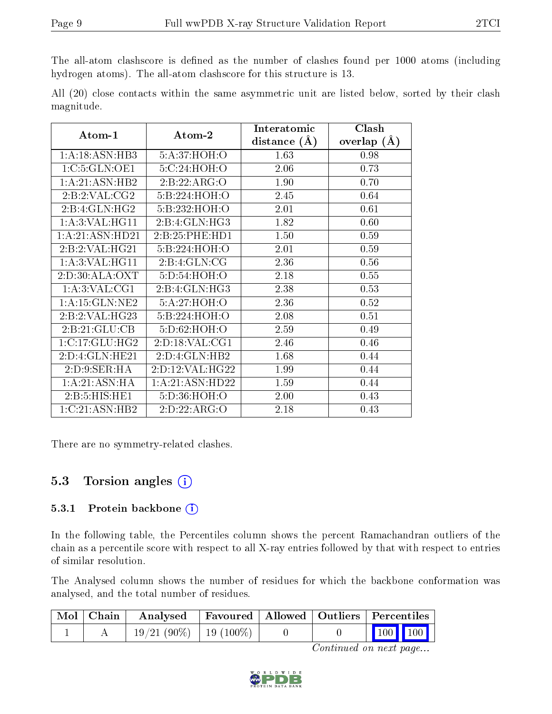The all-atom clashscore is defined as the number of clashes found per 1000 atoms (including hydrogen atoms). The all-atom clashscore for this structure is 13.

|            |  |  | All (20) close contacts within the same asymmetric unit are listed below, sorted by their clash |  |  |  |  |
|------------|--|--|-------------------------------------------------------------------------------------------------|--|--|--|--|
| magnitude. |  |  |                                                                                                 |  |  |  |  |

| Atom-1            | Atom-2            | Interatomic    | Clash         |
|-------------------|-------------------|----------------|---------------|
|                   |                   | distance $(A)$ | overlap $(A)$ |
| 1: A:18: ASN:HB3  | 5:A:37:HOH:O      | 1.63           | 0.98          |
| 1:C:5:GLN:OE1     | 5: C:24: HOH:O    | 2.06           | 0.73          |
| 1: A:21: ASN:HB2  | 2:B:22:ARG:O      | 1.90           | 0.70          |
| 2:1:2:VAL:CG2     | 5:B:224:HOH:O     | 2.45           | 0.64          |
| 2:B:4:GLN:HG2     | 5:B:232:HOH:O     | 2.01           | 0.61          |
| 1: A:3: VAL:HGI1  | 2: B: 4: GLN: HG3 | 1.82           | 0.60          |
| 1:A:21:ASN:HD21   | 2:B:25:PHE:HD1    | 1.50           | 0.59          |
| 2:B:2:VAL:HG21    | 5:B:224:HOH:O     | 2.01           | 0.59          |
| 1: A:3: VAL:HGI1  | 2:B:4:GLN:CG      | 2.36           | 0.56          |
| 2: D:30: ALA: OXT | 5: D: 54: HOH:O   | 2.18           | 0.55          |
| 1: A:3: VAL:CG1   | 2:B:4:GLN:HG3     | 2.38           | 0.53          |
| 1:A:15:GLN:NE2    | 5:A:27:HOH:O      | 2.36           | 0.52          |
| 2:B:2:VAL:HG23    | 5:B:224:HOH:O     | 2.08           | 0.51          |
| 2:B:21:GLU:CB     | 5:D:62:HOH:O      | 2.59           | 0.49          |
| 1:C:17:GLU:HG2    | 2:D:18:VAL:CG1    | 2.46           | 0.46          |
| 2:D:4:GLN:HE21    | 2:D:4:GLN:HB2     | 1.68           | 0.44          |
| 2: D: 9: SER: HA  | 2:D:12:VAL:HG22   | 1.99           | 0.44          |
| 1:A:21:ASN:HA     | 1:A:21:ASN:HD22   | 1.59           | 0.44          |
| 2: B: 5: HIS: HE1 | 5:D:36:HOH:O      | 2.00           | 0.43          |
| 1:C:21:ASN:HB2    | 2:D:22:ARG:O      | 2.18           | 0.43          |

There are no symmetry-related clashes.

#### 5.3 Torsion angles (i)

#### 5.3.1 Protein backbone (i)

In the following table, the Percentiles column shows the percent Ramachandran outliers of the chain as a percentile score with respect to all X-ray entries followed by that with respect to entries of similar resolution.

The Analysed column shows the number of residues for which the backbone conformation was analysed, and the total number of residues.

|  | Mol Chain Analysed Favoured Allowed Outliers Percentiles |  |                                                              |  |
|--|----------------------------------------------------------|--|--------------------------------------------------------------|--|
|  | $19/21(90\%)$   19 (100\%)                               |  | $\begin{array}{ c c c c c }\n\hline\n100 & 100\n\end{array}$ |  |

Continued on next page...

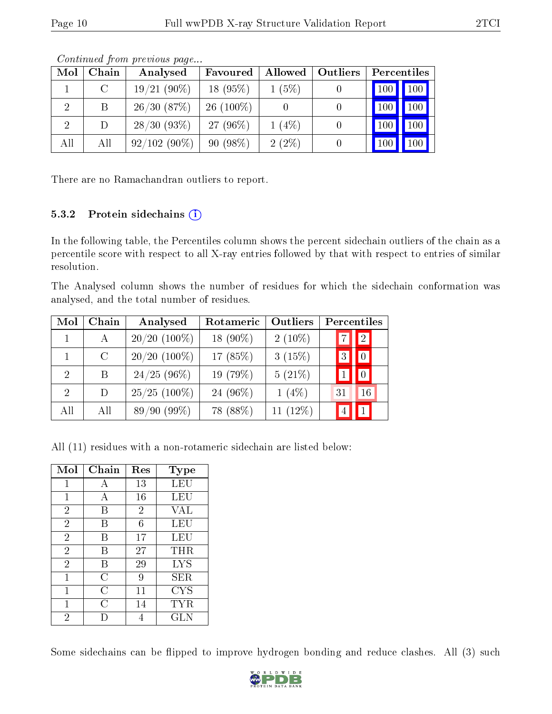| Mol            | Chain   | Analysed       | Favoured    | Allowed  | Outliers | Percentiles |                     |
|----------------|---------|----------------|-------------|----------|----------|-------------|---------------------|
|                | $\rm C$ | $19/21(90\%)$  | $18(95\%)$  | $1(5\%)$ |          | 100         | $\vert$ 100 $\vert$ |
| $\overline{2}$ | B       | 26/30(87%)     | $26(100\%)$ |          |          | 100         | 100                 |
|                | D       | 28/30(93%)     | $27(96\%)$  | $1(4\%)$ |          | 100         | 100                 |
| All            | All     | $92/102(90\%)$ | 90(98%)     | $2(2\%)$ |          |             | 100                 |

Continued from previous page...

There are no Ramachandran outliers to report.

#### 5.3.2 Protein sidechains  $(i)$

In the following table, the Percentiles column shows the percent sidechain outliers of the chain as a percentile score with respect to all X-ray entries followed by that with respect to entries of similar resolution.

The Analysed column shows the number of residues for which the sidechain conformation was analysed, and the total number of residues.

| Mol                         | Chain   | Analysed       | Rotameric   | Outliers    | Percentiles    |             |
|-----------------------------|---------|----------------|-------------|-------------|----------------|-------------|
|                             | A       | $20/20$ (100%) | 18 $(90\%)$ | $2(10\%)$   | 7.             | $\boxed{2}$ |
|                             | $\rm C$ | $20/20$ (100%) | 17 (85%)    | 3(15%)      | 3              |             |
| $\mathcal{D}_{\mathcal{L}}$ | В       | $24/25(96\%)$  | 19 (79%)    | $5(21\%)$   |                |             |
| $\mathcal{D}$               | D       | $25/25$ (100%) | 24 (96%)    | $1(4\%)$    | 31             | 16          |
| All                         | All     | 89/90(99%)     | 78 (88%)    | 11 $(12\%)$ | $\overline{4}$ |             |

All (11) residues with a non-rotameric sidechain are listed below:

| Mol            | $Chain$ | Res            | <b>Type</b>       |
|----------------|---------|----------------|-------------------|
| 1              | А       | 13             | LEU               |
| 1              | А       | 16             | LEU               |
| $\overline{2}$ | В       | $\overline{2}$ | VAL               |
| $\overline{2}$ | В       | 6              | LEU               |
| $\overline{2}$ | B       | 17             | LEU               |
| $\overline{2}$ | В       | 27             | THR               |
| $\overline{2}$ | В       | 29             | LYS               |
| 1              | C       | 9              | ${\rm SER}$       |
| 1              | С       | 11             | $_{\mathrm{CYS}}$ |
| 1              | C       | 14             | TYR               |
| $\overline{2}$ |         |                | <b>GLN</b>        |

Some sidechains can be flipped to improve hydrogen bonding and reduce clashes. All (3) such

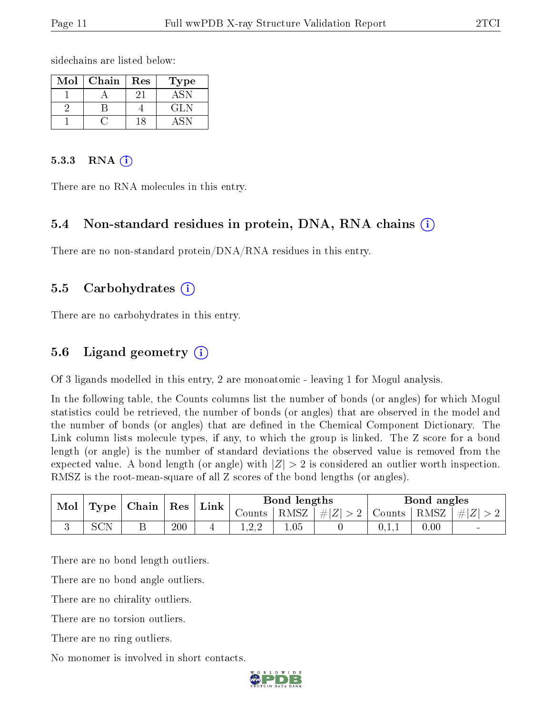sidechains are listed below:

| $\operatorname{Mol}$ | Chain | Res | Гуре |
|----------------------|-------|-----|------|
|                      |       |     |      |
|                      |       |     | GLN  |
|                      |       |     |      |

#### $5.3.3$  RNA  $(i)$

There are no RNA molecules in this entry.

#### 5.4 Non-standard residues in protein, DNA, RNA chains (i)

There are no non-standard protein/DNA/RNA residues in this entry.

#### 5.5 Carbohydrates (i)

There are no carbohydrates in this entry.

#### 5.6 Ligand geometry  $(i)$

Of 3 ligands modelled in this entry, 2 are monoatomic - leaving 1 for Mogul analysis.

In the following table, the Counts columns list the number of bonds (or angles) for which Mogul statistics could be retrieved, the number of bonds (or angles) that are observed in the model and the number of bonds (or angles) that are defined in the Chemical Component Dictionary. The Link column lists molecule types, if any, to which the group is linked. The Z score for a bond length (or angle) is the number of standard deviations the observed value is removed from the expected value. A bond length (or angle) with  $|Z| > 2$  is considered an outlier worth inspection. RMSZ is the root-mean-square of all Z scores of the bond lengths (or angles).

| Mol | Type | $\Box$   Chain   Res $^+$ |     | ' Link | Bond lengths |      | Bond angles                                    |       |      |                 |
|-----|------|---------------------------|-----|--------|--------------|------|------------------------------------------------|-------|------|-----------------|
|     |      |                           |     |        | Counts       |      | $ RMSZ $ $\# Z  > 2$   Counts   RMSZ   $\# Z $ |       |      |                 |
|     | SCN  |                           | 200 |        |              | 0.05 |                                                | 0.1.1 | 0.00 | $\qquad \qquad$ |

There are no bond length outliers.

There are no bond angle outliers.

There are no chirality outliers.

There are no torsion outliers.

There are no ring outliers.

No monomer is involved in short contacts.

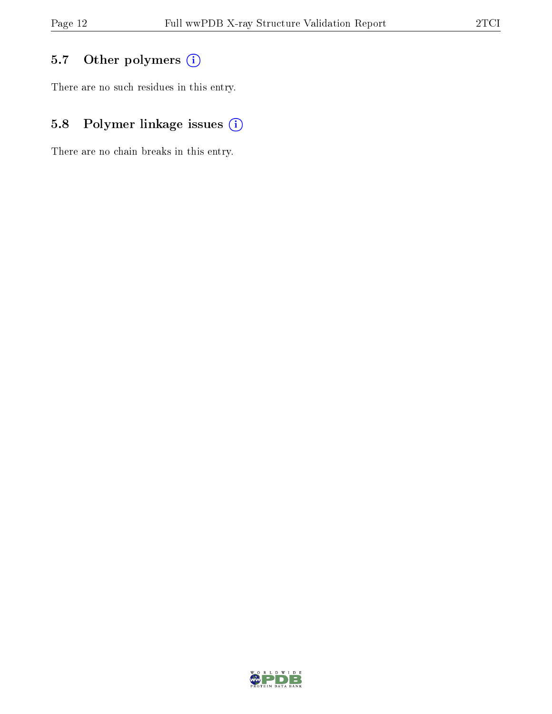## 5.7 [O](https://www.wwpdb.org/validation/2017/XrayValidationReportHelp#nonstandard_residues_and_ligands)ther polymers (i)

There are no such residues in this entry.

## 5.8 Polymer linkage issues (i)

There are no chain breaks in this entry.